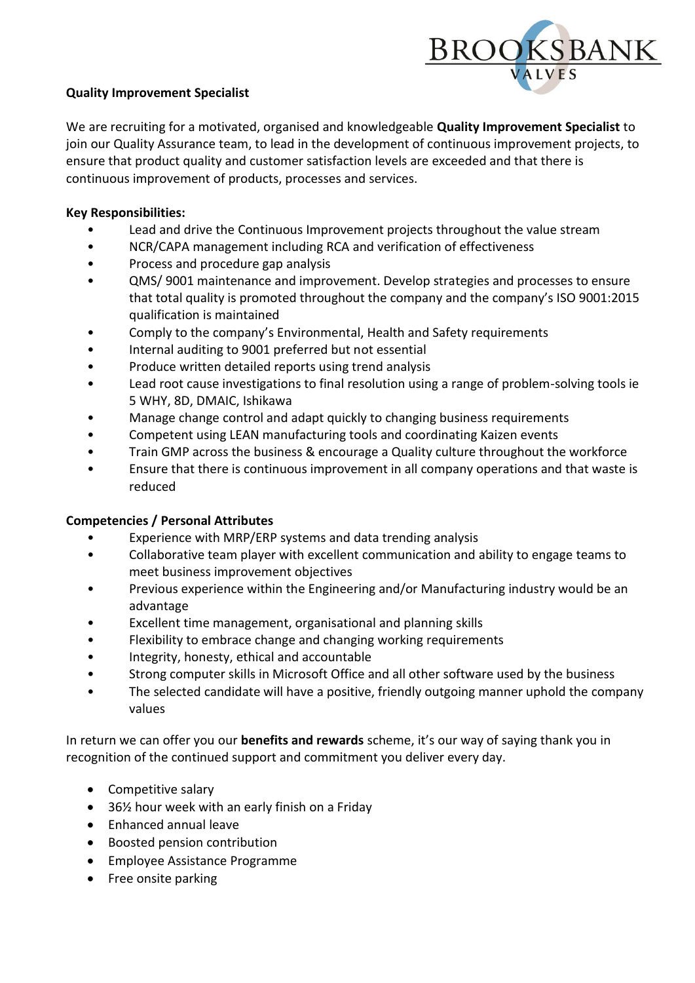

## **Quality Improvement Specialist**

We are recruiting for a motivated, organised and knowledgeable **Quality Improvement Specialist** to join our Quality Assurance team, to lead in the development of continuous improvement projects, to ensure that product quality and customer satisfaction levels are exceeded and that there is continuous improvement of products, processes and services.

## **Key Responsibilities:**

- Lead and drive the Continuous Improvement projects throughout the value stream
- NCR/CAPA management including RCA and verification of effectiveness
- Process and procedure gap analysis
- QMS/ 9001 maintenance and improvement. Develop strategies and processes to ensure that total quality is promoted throughout the company and the company's ISO 9001:2015 qualification is maintained
- Comply to the company's Environmental, Health and Safety requirements
- Internal auditing to 9001 preferred but not essential
- Produce written detailed reports using trend analysis
- Lead root cause investigations to final resolution using a range of problem-solving tools ie 5 WHY, 8D, DMAIC, Ishikawa
- Manage change control and adapt quickly to changing business requirements
- Competent using LEAN manufacturing tools and coordinating Kaizen events
- Train GMP across the business & encourage a Quality culture throughout the workforce
- Ensure that there is continuous improvement in all company operations and that waste is reduced

## **Competencies / Personal Attributes**

- Experience with MRP/ERP systems and data trending analysis
- Collaborative team player with excellent communication and ability to engage teams to meet business improvement objectives
- Previous experience within the Engineering and/or Manufacturing industry would be an advantage
- Excellent time management, organisational and planning skills
- Flexibility to embrace change and changing working requirements
- Integrity, honesty, ethical and accountable
- Strong computer skills in Microsoft Office and all other software used by the business
- The selected candidate will have a positive, friendly outgoing manner uphold the company values

In return we can offer you our **benefits and rewards** scheme, it's our way of saying thank you in recognition of the continued support and commitment you deliver every day.

- Competitive salary
- 36½ hour week with an early finish on a Friday
- Enhanced annual leave
- Boosted pension contribution
- Employee Assistance Programme
- Free onsite parking